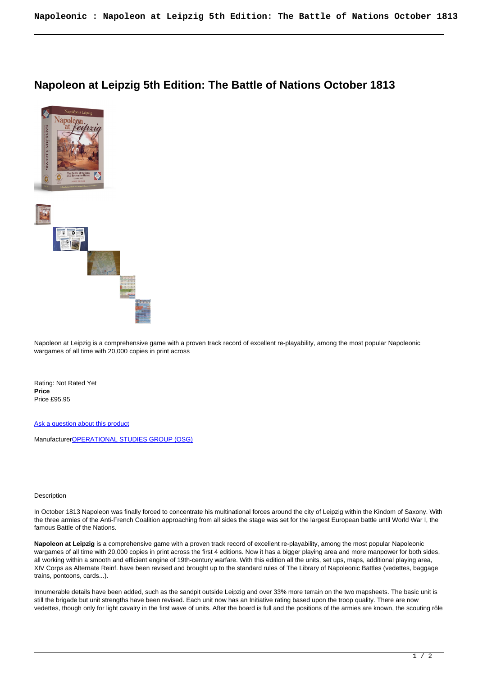## **Napoleon at Leipzig 5th Edition: The Battle of Nations October 1813**





Napoleon at Leipzig is a comprehensive game with a proven track record of excellent re-playability, among the most popular Napoleonic wargames of all time with 20,000 copies in print across

Rating: Not Rated Yet **Price**  Price £95.95

[Ask a question about this product](https://www.secondchancegames.com/index.php?option=com_virtuemart&view=productdetails&task=askquestion&virtuemart_product_id=3567&virtuemart_category_id=7&tmpl=component)

Manufacturer[OPERATIONAL STUDIES GROUP \(OSG\)](https://www.secondchancegames.com/index.php?option=com_virtuemart&view=manufacturer&virtuemart_manufacturer_id=2524&tmpl=component)

## Description

In October 1813 Napoleon was finally forced to concentrate his multinational forces around the city of Leipzig within the Kindom of Saxony. With the three armies of the Anti-French Coalition approaching from all sides the stage was set for the largest European battle until World War I, the famous Battle of the Nations.

**Napoleon at Leipzig** is a comprehensive game with a proven track record of excellent re-playability, among the most popular Napoleonic wargames of all time with 20,000 copies in print across the first 4 editions. Now it has a bigger playing area and more manpower for both sides, all working within a smooth and efficient engine of 19th-century warfare. With this edition all the units, set ups, maps, additional playing area, XIV Corps as Alternate Reinf. have been revised and brought up to the standard rules of The Library of Napoleonic Battles (vedettes, baggage trains, pontoons, cards...).

Innumerable details have been added, such as the sandpit outside Leipzig and over 33% more terrain on the two mapsheets. The basic unit is still the brigade but unit strengths have been revised. Each unit now has an Initiative rating based upon the troop quality. There are now vedettes, though only for light cavalry in the first wave of units. After the board is full and the positions of the armies are known, the scouting rôle